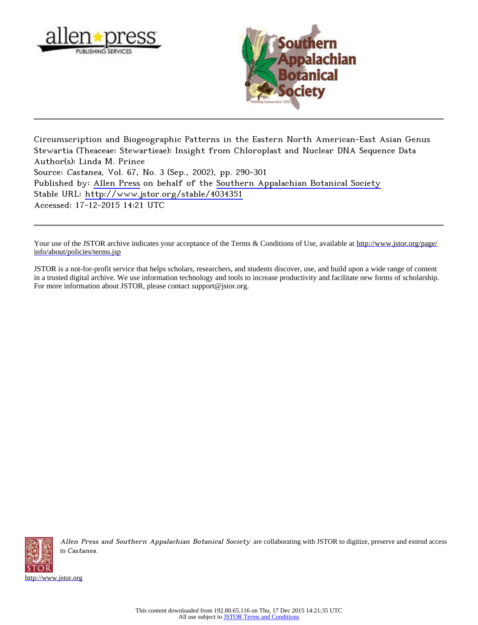



Circumscription and Biogeographic Patterns in the Eastern North American-East Asian Genus Stewartia (Theaceae: Stewartieae): Insight from Chloroplast and Nuclear DNA Sequence Data Author(s): Linda M. Prince Source: Castanea, Vol. 67, No. 3 (Sep., 2002), pp. 290-301 Published by: [Allen Press](http://www.jstor.org/action/showPublisher?publisherCode=acg) on behalf of the [Southern Appalachian Botanical Society](http://www.jstor.org/action/showPublisher?publisherCode=sabs) Stable URL: <http://www.jstor.org/stable/4034351> Accessed: 17-12-2015 14:21 UTC

Your use of the JSTOR archive indicates your acceptance of the Terms & Conditions of Use, available at [http://www.jstor.org/page/](http://www.jstor.org/page/info/about/policies/terms.jsp) [info/about/policies/terms.jsp](http://www.jstor.org/page/info/about/policies/terms.jsp)

JSTOR is a not-for-profit service that helps scholars, researchers, and students discover, use, and build upon a wide range of content in a trusted digital archive. We use information technology and tools to increase productivity and facilitate new forms of scholarship. For more information about JSTOR, please contact support@jstor.org.



Allen Press and Southern Appalachian Botanical Society are collaborating with JSTOR to digitize, preserve and extend access to Castanea.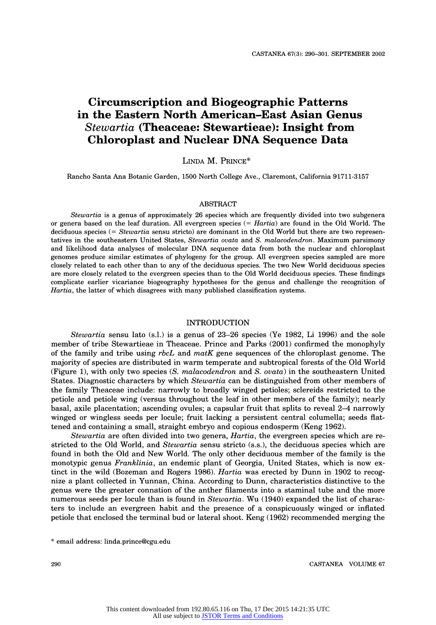# **Circumscription and Biogeographic Patterns in the Eastern North American-East Asian Genus Stewartia (Theaceae: Stewartieae): Insight from Chloroplast and Nuclear DNA Sequence Data**

**LINDA M. PRINCE\*** 

**Rancho Santa Ana Botanic Garden, 1500 North College Ave., Claremont, California 91711-3157** 

#### **ABSTRACT**

**Stewartia is a genus of approximately 26 species which are frequently divided into two subgenera or genera based on the leaf duration. All evergreen species (= Hartia) are found in the Old World. The deciduous species (= Stewartia sensu stricto) are dominant in the Old World but there are two representatives in the southeastern United States, Stewartia ovata and S. malacodendron. Maximum parsimony and likelihood data analyses of molecular DNA sequence data from both the nuclear and chloroplast genomes produce similar estimates of phylogeny for the group. All evergreen species sampled are more closely related to each other than to any of the deciduous species. The two New World deciduous species are more closely related to the evergreen species than to the Old World deciduous species. These findings complicate earlier vicariance biogeography hypotheses for the genus and challenge the recognition of Hartia, the latter of which disagrees with many published classification systems.** 

#### **INTRODUCTION**

**Stewartia sensu lato (s.l.) is a genus of 23-26 species (Ye 1982, Li 1996) and the sole member of tribe Stewartieae in Theaceae. Prince and Parks (2001) confirmed the monophyly of the family and tribe using rbcL and matK gene sequences of the chloroplast genome. The majority of species are distributed in warm temperate and subtropical forests of the Old World (Figure 1), with only two species (S. malacodendron and S. ovata) in the southeastern United States. Diagnostic characters by which Stewartia can be distinguished from other members of the family Theaceae include: narrowly to broadly winged petioles; sclereids restricted to the petiole and petiole wing (versus throughout the leaf in other members of the family); nearly basal, axile placentation; ascending ovules; a capsular fruit that splits to reveal 2-4 narrowly winged or wingless seeds per locule; fruit lacking a persistent central columella; seeds flattened and containing a small, straight embryo and copious endosperm (Keng 1962).** 

**Stewartia are often divided into two genera, Hartia, the evergreen species which are restricted to the Old World, and Stewartia sensu stricto (s.s.), the deciduous species which are found in both the Old and New World. The only other deciduous member of the family is the monotypic genus Franklinia, an endemic plant of Georgia, United States, which is now extinct in the wild (Bozeman and Rogers 1986). Hartia was erected by Dunn in 1902 to recognize a plant collected in Yunnan, China. According to Dunn, characteristics distinctive to the genus were the greater connation of the anther filaments into a staminal tube and the more numerous seeds per locule than is found in Stewartia. Wu (1940) expanded the list of characters to include an evergreen habit and the presence of a conspicuously winged or inflated petiole that enclosed the terminal bud or lateral shoot. Keng (1962) recommended merging the** 

**\* email address: linda.prince@cgu.edu**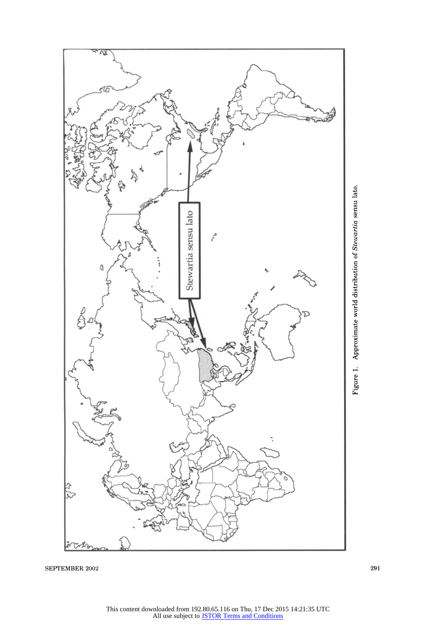

SEPTEMBER 2002

291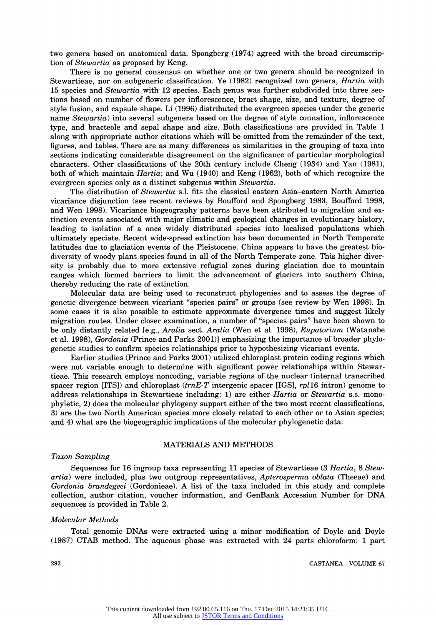**two genera based on anatomical data. Spongberg (1974) agreed with the broad circumscription of Stewartia as proposed by Keng.** 

**There is no general consensus on whether one or two genera should be recognized in Stewartieae, nor on subgeneric classification. Ye (1982) recognized two genera, Hartia with 15 species and Stewartia with 12 species. Each genus was further subdivided into three sections based on number of flowers per inflorescence, bract shape, size, and texture, degree of style fusion, and capsule shape. Li (1996) distributed the evergreen species (under the generic name Stewartia) into several subgenera based on the degree of style connation, inflorescence type, and bracteole and sepal shape and size. Both classifications are provided in Table 1 along with appropriate author citations which will be omitted from the remainder of the text, figures, and tables. There are as many differences as similarities in the grouping of taxa into sections indicating considerable disagreement on the significance of particular morphological characters. Other classifications of the 20th century include Cheng (1934) and Yan (1981), both of which maintain Hartia; and Wu (1940) and Keng (1962), both of which recognize the evergreen species only as a distinct subgenus within Stewartia.** 

**The distribution of Stewartia s.l. fits the classical eastern Asia-eastern North America vicariance disjunction (see recent reviews by Boufford and Spongberg 1983, Boufford 1998, and Wen 1998). Vicariance biogeography patterns have been attributed to migration and extinction events associated with major climatic and geological changes in evolutionary history, leading to isolation of a once widely distributed species into localized populations which ultimately speciate. Recent wide-spread extinction has been documented in North Temperate latitudes due to glaciation events of the Pleistocene. China appears to have the greatest biodiversity of woody plant species found in all of the North Temperate zone. This higher diversity is probably due to more extensive refugial zones during glaciation due to mountain ranges which formed barriers to limit the advancement of glaciers into southern China, thereby reducing the rate of extinction.** 

**Molecular data are being used to reconstruct phylogenies and to assess the degree of genetic divergence between vicariant "species pairs" or groups (see review by Wen 1998). In some cases it is also possible to estimate approximate divergence times and suggest likely migration routes. Under closer examination, a number of "species pairs" have been shown to be only distantly related [e.g., Aralia sect. Aralia (Wen et al. 1998), Eupatorium (Watanabe et al. 1998), Gordonia (Prince and Parks 2001)] emphasizing the importance of broader phylogenetic studies to confirm species relationships prior to hypothesizing vicariant events.** 

**Earlier studies (Prince and Parks 2001) utilized chloroplast protein coding regions which were not variable enough to determine with significant power relationships within Stewartieae. This research employs noncoding, variable regions of the nuclear (internal transcribed spacer region [ITS]) and chloroplast (trnE-T intergenic spacer [IGS], rpll6 intron) genome to address relationships in Stewartieae including: 1) are either Hartia or Stewartia s.s. monophyletic, 2) does the molecular phylogeny support either of the two most recent classifications, 3) are the two North American species more closely related to each other or to Asian species; and 4) what are the biogeographic implications of the molecular phylogenetic data.** 

#### **MATERIALS AND METHODS**

#### **Taxon Sampling**

**Sequences for 16 ingroup taxa representing 11 species of Stewartieae (3 Hartia, 8 Stewartia) were included, plus two outgroup representatives, Apterosperma oblata (Theeae) and Gordonia brandegeei (Gordonieae). A list of the taxa included in this study and complete collection, author citation, voucher information, and GenBank Accession Number for DNA sequences is provided in Table 2.** 

# **Molecular Methods**

**Total genomic DNAs were extracted using a minor modification of Doyle and Doyle (1987) CTAB method. The aqueous phase was extracted with 24 parts chloroform: 1 part**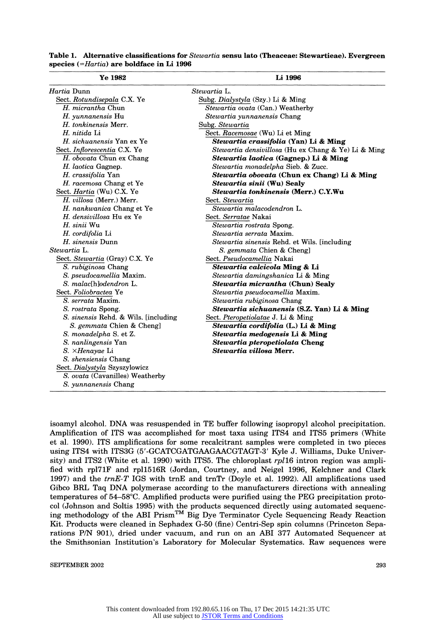| Ye 1982                               | Li 1996                                             |
|---------------------------------------|-----------------------------------------------------|
| Hartia Dunn                           | Stewartia L.                                        |
| Sect. Rotundisepala C.X. Ye           | Subg. Dialystyla (Szy.) Li & Ming                   |
| H. micrantha Chun                     | Stewartia ovata (Can.) Weatherby                    |
| H. yunnanensis Hu                     | Stewartia yunnanensis Chang                         |
| H. tonkinensis Merr.                  | Subg. Stewartia                                     |
| H. nitida Li                          | Sect. Racemosae (Wu) Li et Ming                     |
| H. sichuanensis Yan ex Ye             | Stewartia crassifolia (Yan) Li & Ming               |
| Sect. Inflorescentia C.X. Ye          | Stewartia densivillosa (Hu ex Chang & Ye) Li & Ming |
| H. obovata Chun ex Chang              | Stewartia laotica (Gagnep.) Li & Ming               |
| H. laotica Gagnep.                    | Stewartia monadelpha Sieb. & Zucc.                  |
| H. crassifolia Yan                    | Stewartia obovata (Chun ex Chang) Li & Ming         |
| H. racemosa Chang et Ye               | Stewartia sinii (Wu) Sealy                          |
| Sect. Hartia (Wu) C.X. Ye             | Stewartia tonkinensis (Merr.) C.Y.Wu                |
| H. villosa (Merr.) Merr.              | Sect. Stewartia                                     |
| H. nankwanica Chang et Ye             | Stewartia malacodendron L.                          |
| H. densivillosa Hu ex Ye              | Sect. Serratae Nakai                                |
| H. sinii Wu                           | Stewartia rostrata Spong.                           |
| H. cordifolia Li                      | Stewartia serrata Maxim.                            |
| H. sinensis Dunn                      | Stewartia sinensis Rehd. et Wils. [including]       |
| Stewartia L.                          | S. gemmata Chien & Cheng]                           |
| Sect. Stewartia (Gray) C.X. Ye        | Sect. Pseudocamellia Nakai                          |
| S. rubiginosa Chang                   | Stewartia calcicola Ming & Li                       |
| S. pseudocamellia Maxim.              | Stewartia damingshanica Li & Ming                   |
| S. malac[h]odendron L.                | Stewartia micrantha (Chun) Sealy                    |
| Sect. Foliobractea Ye                 | Stewartia pseudocamellia Maxim.                     |
| S. serrata Maxim.                     | Stewartia rubiginosa Chang                          |
| S. rostrata Spong.                    | Stewartia sichuanensis (S.Z. Yan) Li & Ming         |
| S. sinensis Rehd. & Wils. [including] | Sect. Pteropetiolatae J. Li & Ming                  |
| S. gemmata Chien & Cheng]             | Stewartia cordifolia (L.) Li & Ming                 |
| S. monadelpha S. et Z.                | Stewartia medogensis Li & Ming                      |
| S. nanlingensis Yan                   | Stewartia pteropetiolata Cheng                      |
| S. × Henayae Li                       | Stewartia villosa Merr.                             |
| S. shensiensis Chang                  |                                                     |
| Sect. Dialystyla Szyszylowicz         |                                                     |
| S. ovata (Cavanilles) Weatherby       |                                                     |
| S. yunnanensis Chang                  |                                                     |

**Table 1. Alternative classifications for Stewartia sensu lato (Theaceae: Stewartieae). Evergreen species (=Hartia) are boldface in Li 1996** 

**isoamyl alcohol. DNA was resuspended in TE buffer following isopropyl alcohol precipitation. Amplification of ITS was accomplished for most taxa using ITS4 and ITS5 primers (White et al. 1990). ITS amplifications for some recalcitrant samples were completed in two pieces using ITS4 with ITS3G (5'-GCATCGATGAAGAACGTAGT-3' Kyle J. Williams, Duke University) and ITS2 (White et al. 1990) with ITS5. The chloroplast rpll6 intron region was amplified with rp171F and rpll516R (Jordan, Courtney, and Neigel 1996, Kelchner and Clark 1997) and the trnE-T IGS with trnE and trnTr (Doyle et al. 1992). All amplifications used Gibco BRL Taq DNA polymerase according to the manufacturers directions with annealing**  temperatures of 54–58°C. Amplified products were purified using the PEG precipitation proto**col (Johnson and Soltis 1995) with the products sequenced directly using automated sequencing methodology of the ABI PrismTm Big Dye Terminator Cycle Sequencing Ready Reaction Kit. Products were cleaned in Sephadex G-50 (fine) Centri-Sep spin columns (Princeton Separations P/N 901), dried under vacuum, and run on an ABI 377 Automated Sequencer at the Smithsonian Institution's Laboratory for Molecular Systematics. Raw sequences were**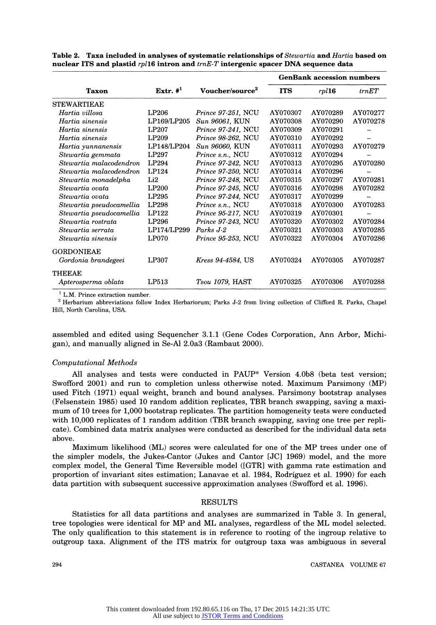|                          |              |                             |            | <b>GenBank accession numbers</b> |          |
|--------------------------|--------------|-----------------------------|------------|----------------------------------|----------|
| <b>Taxon</b>             | Extr. $\#^1$ | Voucher/source <sup>2</sup> | <b>ITS</b> | rpl16                            | trnET    |
| <b>STEWARTIEAE</b>       |              |                             |            |                                  |          |
| Hartia villosa           | LP206        | <i>Prince 97-251</i> , NCU  | AY070307   | AY070289                         | AY070277 |
| Hartia sinensis          | LP169/LP205  | Sun 96061, KUN              | AY070308   | AY070290                         | AY070278 |
| Hartia sinensis          | <b>LP207</b> | Prince 97-241, NCU          | AY070309   | AY070291                         |          |
| Hartia sinensis          | LP209        | Prince 98-262, NCU          | AY070310   | AY070292                         |          |
| Hartia yunnanensis       | LP148/LP204  | Sun 96060, KUN              | AY070311   | AY070293                         | AY070279 |
| Stewartia gemmata        | LP297        | Prince s.n., NCU            | AY070312   | AY070294                         |          |
| Stewartia malacodendron  | LP294        | Prince 97-242, NCU          | AY070313   | AY070295                         | AY070280 |
| Stewartia malacodendron  | LP124        | Prince 97-250, NCU          | AY070314   | AY070296                         |          |
| Stewartia monadelpha     | Li2          | Prince 97-248, NCU          | AY070315   | AY070297                         | AY070281 |
| Stewartia ovata          | LP200        | Prince 97-245, NCU          | AY070316   | AY070298                         | AY070282 |
| Stewartia ovata          | LP295        | Prince 97-244, NCU          | AY070317   | AY070299                         |          |
| Stewartia pseudocamellia | LP298        | Prince s.n., NCU            | AY070318   | AY070300                         | AY070283 |
| Stewartia pseudocamellia | LP122        | Prince 95-217, NCU          | AY070319   | AY070301                         |          |
| Stewartia rostrata       | LP296        | Prince 97-243, NCU          | AY070320   | AY070302                         | AY070284 |
| Stewartia serrata        | LP174/LP299  | Parks J-2                   | AY070321   | AY070303                         | AY070285 |
| Stewartia sinensis       | <b>LP070</b> | <i>Prince 95-253</i> , NCU  | AY070322   | AY070304                         | AY070286 |
| <b>GORDONIEAE</b>        |              |                             |            |                                  |          |
| Gordonia brandegeei      | LP307        | <i>Kress 94-4584</i> , US   | AY070324   | AY070305                         | AY070287 |
| <b>THEEAE</b>            |              |                             |            |                                  |          |
| Apterosperma oblata      | LP513        | <i>Tsou 1079</i> , HAST     | AY070325   | AY070306                         | AY070288 |

**Table 2. Taxa included in analyses of systematic relationships of Stewartia and Hartia based on nuclear ITS and plastid rpll6 intron and trnE-T intergenic spacer DNA sequence data** 

**1 L.M. Prince extraction number.** 

**<sup>2</sup>Herbarium abbreviations follow Index Herbariorum; Parks J-2 from living collection of Clifford R. Parks, Chapel Hill, North Carolina, USA.** 

**assembled and edited using Sequencher 3.1.1 (Gene Codes Corporation, Ann Arbor, Michigan), and manually aligned in Se-Al 2.0a3 (Rambaut 2000).** 

# **Computational Methods**

**All analyses and tests were conducted in PAUP\* Version 4.0b8 (beta test version; Swofford 2001) and run to completion unless otherwise noted. Maximum Parsimony (MP) used Fitch (1971) equal weight, branch and bound analyses. Parsimony bootstrap analyses (Felsenstein 1985) used 10 random addition replicates, TBR branch swapping, saving a maximum of 10 trees for 1,000 bootstrap replicates. The partition homogeneity tests were conducted**  with 10,000 replicates of 1 random addition (TBR branch swapping, saving one tree per repli**cate). Combined data matrix analyses were conducted as described for the individual data sets above.** 

**Maximum likelihood (ML) scores were calculated for one of the MP trees under one of the simpler models, the Jukes-Cantor (Jukes and Cantor [JC] 1969) model, and the more complex model, the General Time Reversible model ([GTR] with gamma rate estimation and proportion of invariant sites estimation; Lanavae et al. 1984, Rodriguez et al. 1990) for each data partition with subsequent successive approximation analyses (Swofford et al. 1996).** 

# **RESULTS**

**Statistics for all data partitions and analyses are summarized in Table 3. In general, tree topologies were identical for MP and ML analyses, regardless of the ML model selected. The only qualification to this statement is in reference to rooting of the ingroup relative to outgroup taxa. Alignment of the ITS matrix for outgroup taxa was ambiguous in several**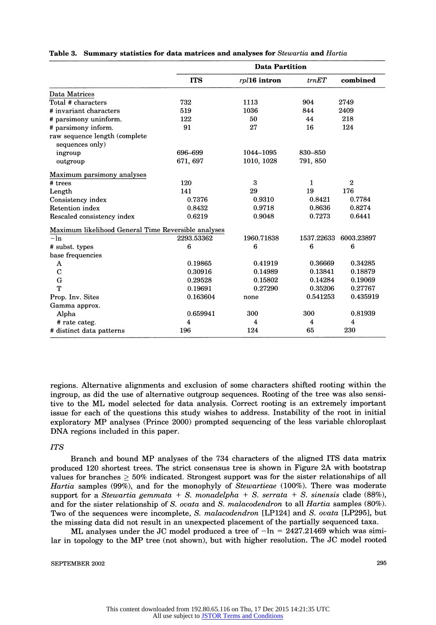|                                                     | <b>Data Partition</b> |                |            |              |
|-----------------------------------------------------|-----------------------|----------------|------------|--------------|
|                                                     | <b>ITS</b>            | $rpl16$ intron | $trnET$    | combined     |
| Data Matrices                                       |                       |                |            |              |
| Total # characters                                  | 732                   | 1113           | 904        | 2749         |
| # invariant characters                              | 519                   | 1036           | 844        | 2409         |
| # parsimony uninform.                               | 122                   | 50             | 44         | 218          |
| # parsimony inform.                                 | 91                    | 27             | 16         | 124          |
| raw sequence length (complete<br>sequences only)    |                       |                |            |              |
| ingroup                                             | 696-699               | 1044-1095      | 830-850    |              |
| outgroup                                            | 671, 697              | 1010, 1028     | 791, 850   |              |
| Maximum parsimony analyses                          |                       |                |            |              |
| # trees                                             | 120                   | 3              | 1          | $\mathbf{2}$ |
| Length                                              | 141                   | 29             | 19         | 176          |
| Consistency index                                   | 0.7376                | 0.9310         | 0.8421     | 0.7784       |
| Retention index                                     | 0.8432                | 0.9718         | 0.8636     | 0.8274       |
| Rescaled consistency index                          | 0.6219                | 0.9048         | 0.7273     | 0.6441       |
| Maximum likelihood General Time Reversible analyses |                       |                |            |              |
| $\overline{-}\ln$                                   | 2293.53362            | 1960.71838     | 1537.22633 | 6003.23897   |
| # subst. types                                      | 6                     | 6              | 6          | 6            |
| base frequencies                                    |                       |                |            |              |
| A                                                   | 0.19865               | 0.41919        | 0.36669    | 0.34285      |
| $\mathbf C$                                         | 0.30916               | 0.14989        | 0.13841    | 0.18879      |
| $\mathbf G$                                         | 0.29528               | 0.15802        | 0.14284    | 0.19069      |
| T                                                   | 0.19691               | 0.27290        | 0.35206    | 0.27767      |
| Prop. Inv. Sites                                    | 0.163604              | none           | 0.541253   | 0.435919     |
| Gamma approx.                                       |                       |                |            |              |
| Alpha                                               | 0.659941              | 300            | 300        | 0.81939      |
| # rate categ.                                       | 4                     | 4              | 4          | 4            |
| # distinct data patterns                            | 196                   | 124            | 65         | 230          |

# **Table 3. Summary statistics for data matrices and analyses for Stewartia and Hartia**

**regions. Alternative alignments and exclusion of some characters shifted rooting within the ingroup, as did the use of alternative outgroup sequences. Rooting of the tree was also sensitive to the ML model selected for data analysis. Correct rooting is an extremely important issue for each of the questions this study wishes to address. Instability of the root in initial exploratory MP analyses (Prince 2000) prompted sequencing of the less variable chloroplast DNA regions included in this paper.** 

# **ITS**

**Branch and bound MP analyses of the 734 characters of the aligned ITS data matrix produced 120 shortest trees. The strict consensus tree is shown in Figure 2A with bootstrap values for branches > 50% indicated. Strongest support was for the sister relationships of all Hartia samples (99%), and for the monophyly of Stewartieae (100%). There was moderate**  support for a Stewartia gemmata + S. monadelpha + S. serrata + S. sinensis clade  $(88\%)$ , **and for the sister relationship of S. ovata and S. malacodendron to all Hartia samples (80%). Two of the sequences were incomplete, S. malacodendron [LP124] and S. ovata [LP295], but the missing data did not result in an unexpected placement of the partially sequenced taxa.** 

ML analyses under the JC model produced a tree of  $-\ln = 2427.21469$  which was simi**lar in topology to the MP tree (not shown), but with higher resolution. The JC model rooted** 

# **SEPTEMBER 2002** 295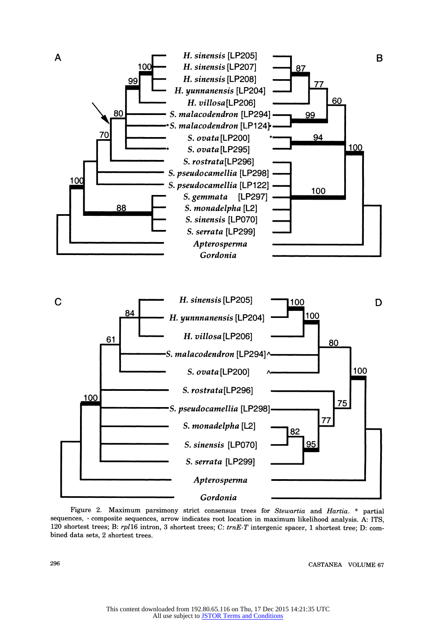

**Figure 2. Maximum parsimony strict consensus trees for Stewartia and Hartia. \* partial sequences, - composite sequences, arrow indicates root location in maximum likelihood analysis. A: ITS, 120 shortest trees; B: rpll6 intron, 3 shortest trees; C: trnE-T intergenic spacer, 1 shortest tree; D: combined data sets, 2 shortest trees.**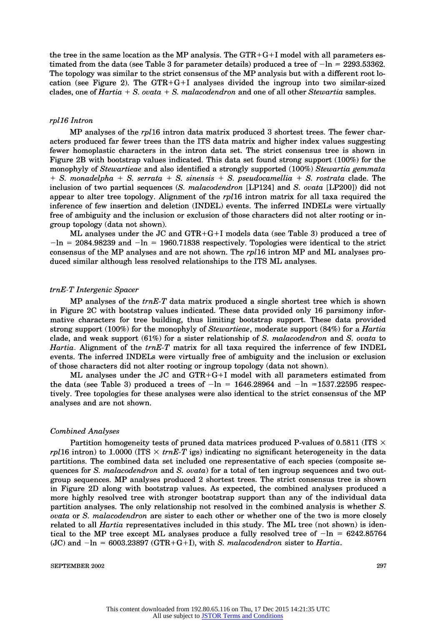**the tree in the same location as the MP analysis. The GTR+G+I model with all parameters estimated from the data (see Table 3 for parameter details) produced a tree of -ln = 2293.53362. The topology was similar to the strict consensus of the MP analysis but with a different root location (see Figure 2). The GTR+G+I analyses divided the ingroup into two similar-sized clades, one of Hartia + S. ovata + S. malacodendron and one of all other Stewartia samples.** 

# **rpll6 Intron**

**MP analyses of the rpll6 intron data matrix produced 3 shortest trees. The fewer characters produced far fewer trees than the ITS data matrix and higher index values suggesting fewer homoplastic characters in the intron data set. The strict consensus tree is shown in Figure 2B with bootstrap values indicated. This data set found strong support (100%) for the monophyly of Stewartieae and also identified a strongly supported (100%) Stewartia gemmata + S. monadelpha + S. serrata + S. sinensis + S. pseudocamellia + S. rostrata clade. The inclusion of two partial sequences (S. malacodendron [LP124] and S. ovata [LP200]) did not appear to alter tree topology. Alignment of the rpll6 intron matrix for all taxa required the inference of few insertion and deletion (INDEL) events. The inferred INDELs were virtually free of ambiguity and the inclusion or exclusion of those characters did not alter rooting or ingroup topology (data not shown).** 

**ML analyses under the JC and GTR+G+I models data (see Table 3) produced a tree of**   $-ln = 2084.98239$  and  $-ln = 1960.71838$  respectively. Topologies were identical to the strict **consensus of the MP analyses and are not shown. The rpll6 intron MP and ML analyses produced similar although less resolved relationships to the ITS ML analyses.** 

# **trnE-T Intergenic Spacer**

**MP analyses of the trnE-T data matrix produced a single shortest tree which is shown in Figure 2C with bootstrap values indicated. These data provided only 16 parsimony informative characters for tree building, thus limiting bootstrap support. These data provided strong support (100%) for the monophyly of Stewartieae, moderate support (84%) for a Hartia clade, and weak support (61%) for a sister relationship of S. malacodendron and S. ovata to Hartia. Alignment of the trnE-T matrix for all taxa required the inferrence of few INDEL events. The inferred INDELs were virtually free of ambiguity and the inclusion or exclusion of those characters did not alter rooting or ingroup topology (data not shown).** 

**ML analyses under the JC and GTR+G+I model with all parameters estimated from**  the data (see Table 3) produced a trees of  $-\ln = 1646.28964$  and  $-\ln = 1537.22595$  respec**tively. Tree topologies for these analyses were also identical to the strict consensus of the MP analyses and are not shown.** 

#### **Combined Analyses**

Partition homogeneity tests of pruned data matrices produced P-values of 0.5811 (ITS  $\times$  $rpl16$  intron) to 1.0000 (ITS  $\times$  *trnE-T* igs) indicating no significant heterogeneity in the data **partitions. The combined data set included one representative of each species (composite sequences for S. malacodendron and S. ovata) for a total of ten ingroup sequences and two outgroup sequences. MP analyses produced 2 shortest trees. The strict consensus tree is shown in Figure 2D along with bootstrap values. As expected, the combined analyses produced a more highly resolved tree with stronger bootstrap support than any of the individual data partition analyses. The only relationship not resolved in the combined analysis is whether S. ovata or S. malacodendron are sister to each other or whether one of the two is more closely related to all Hartia representatives included in this study. The ML tree (not shown) is iden**tical to the MP tree except ML analyses produce a fully resolved tree of  $-\ln = 6242.85764$  $J$ (JC) and  $-\ln = 6003.23897$  (GTR+G+I), with *S. malacodendron* sister to *Hartia*.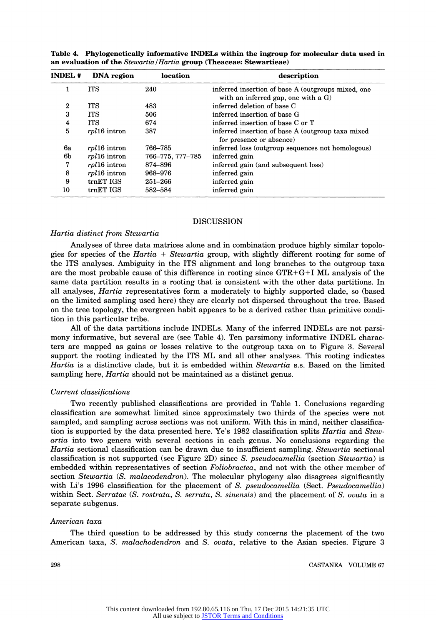| <b>INDEL#</b> | <b>DNA</b> region | location         | description                                                                                  |
|---------------|-------------------|------------------|----------------------------------------------------------------------------------------------|
| 1             | <b>ITS</b>        | 240              | inferred insertion of base A (outgroups mixed, one<br>with an inferred gap, one with a $G$ ) |
| $\bf{2}$      | <b>ITS</b>        | 483              | inferred deletion of base C                                                                  |
| 3             | <b>ITS</b>        | 506              | inferred insertion of base G                                                                 |
| 4             | ITS               | 674              | inferred insertion of base C or T                                                            |
| 5             | rpl16 intron      | 387              | inferred insertion of base A (outgroup taxa mixed)<br>for presence or absence)               |
| 6a            | rpl16 intron      | 766–785          | inferred loss (outgroup sequences not homologous)                                            |
| 6b            | $rpl16$ intron    | 766–775, 777–785 | inferred gain                                                                                |
| 7             | rpl16 intron      | 874-896          | inferred gain (and subsequent loss)                                                          |
| 8             | rpl16 intron      | 968-976          | inferred gain                                                                                |
| 9             | trnET IGS         | $251 - 266$      | inferred gain                                                                                |
| 10            | trnET IGS         | 582-584          | inferred gain                                                                                |

**Table 4. Phylogenetically informative INDELs within the ingroup for molecular data used in**  an evaluation of the *Stewartia* / Hartia group (Theaceae: Stewartieae)

#### **DISCUSSION**

# **Hartia distinct from Stewartia**

**Analyses of three data matrices alone and in combination produce highly similar topologies for species of the Hartia + Stewartia group, with slightly different rooting for some of the ITS analyses. Ambiguity in the ITS alignment and long branches to the outgroup taxa are the most probable cause of this difference in rooting since GTR+G+I ML analysis of the same data partition results in a rooting that is consistent with the other data partitions. In all analyses, Hartia representatives form a moderately to highly supported clade, so (based on the limited sampling used here) they are clearly not dispersed throughout the tree. Based on the tree topology, the evergreen habit appears to be a derived rather than primitive condition in this particular tribe.** 

**All of the data partitions include INDELs. Many of the inferred INDELs are not parsimony informative, but several are (see Table 4). Ten parsimony informative INDEL characters are mapped as gains or losses relative to the outgroup taxa on to Figure 3. Several support the rooting indicated by the ITS ML and all other analyses. This rooting indicates Hartia is a distinctive clade, but it is embedded within Stewartia s.s. Based on the limited sampling here, Hartia should not be maintained as a distinct genus.** 

#### **Current classifications**

**Two recently published classifications are provided in Table 1. Conclusions regarding classification are somewhat limited since approximately two thirds of the species were not sampled, and sampling across sections was not uniform. With this in mind, neither classification is supported by the data presented here. Ye's 1982 classification splits Hartia and Stewartia into two genera with several sections in each genus. No conclusions regarding the Hartia sectional classification can be drawn due to insufficient sampling. Stewartia sectional classification is not supported (see Figure 2D) since S. pseudocamellia (section Stewartia) is embedded within representatives of section Foliobractea, and not with the other member of section Stewartia (S. malacodendron). The molecular phylogeny also disagrees significantly with Li's 1996 classification for the placement of S. pseudocamellia (Sect. Pseudocamellia) within Sect. Serratae (S. rostrata, S. serrata, S. sinensis) and the placement of S. ovata in a separate subgenus.** 

#### **American taxa**

**The third question to be addressed by this study concerns the placement of the two American taxa, S. malachodendron and S. ovata, relative to the Asian species. Figure 3**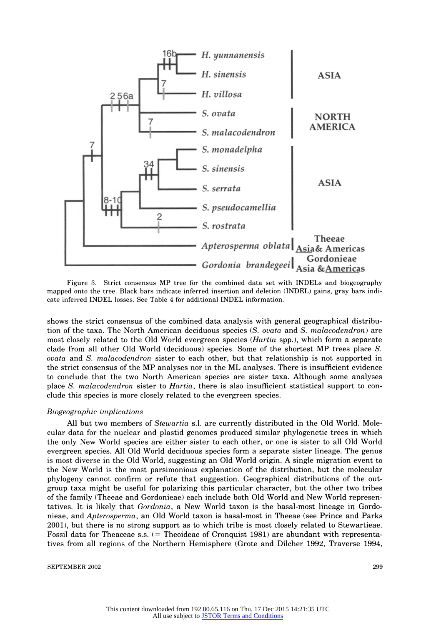

**Figure 3. Strict consensus MP tree for the combined data set with INDELs and biogeography mapped onto the tree. Black bars indicate inferred insertion and deletion (INDEL) gains, gray bars indicate inferred INDEL losses. See Table 4 for additional INDEL information.** 

**shows the strict consensus of the combined data analysis with general geographical distribution of the taxa. The North American deciduous species (S. ovata and S. malacodendron) are most closely related to the Old World evergreen species (Hartia spp.), which form a separate clade from all other Old World (deciduous) species. Some of the shortest MP trees place S. ovata and S. malacodendron sister to each other, but that relationship is not supported in the strict consensus of the MP analyses nor in the ML analyses. There is insufficient evidence to conclude that the two North American species are sister taxa. Although some analyses place S. malacodendron sister to Hartia, there is also insufficient statistical support to conclude this species is more closely related to the evergreen species.** 

#### **Biogeographic implications**

**All but two members of Stewartia s.l. are currently distributed in the Old World. Molecular data for the nuclear and plastid genomes produced similar phylogenetic trees in which the only New World species are either sister to each other, or one is sister to all Old World evergreen species. All Old World deciduous species form a separate sister lineage. The genus is most diverse in the Old World, suggesting an Old World origin. A single migration event to the New World is the most parsimonious explanation of the distribution, but the molecular phylogeny cannot confirm or refute that suggestion. Geographical distributions of the outgroup taxa might be useful for polarizing this particular character, but the other two tribes of the family (Theeae and Gordonieae) each include both Old World and New World representatives. It is likely that Gordonia, a New World taxon is the basal-most lineage in Gordonieae, and Apterosperma, an Old World taxon is basal-most in Theeae (see Prince and Parks 2001), but there is no strong support as to which tribe is most closely related to Stewartieae. Fossil data for Theaceae s.s. (= Theoideae of Cronquist 1981) are abundant with representatives from all regions of the Northern Hemisphere (Grote and Dilcher 1992, Traverse 1994,**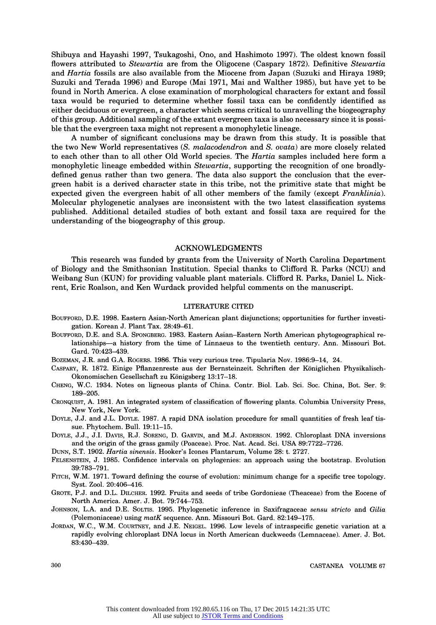**Shibuya and Hayashi 1997, Tsukagoshi, Ono, and Hashimoto 1997). The oldest known fossil flowers attributed to Stewartia are from the Oligocene (Caspary 1872). Definitive Stewartia and Hartia fossils are also available from the Miocene from Japan (Suzuki and Hiraya 1989; Suzuki and Terada 1996) and Europe (Mai 1971, Mai and Walther 1985), but have yet to be found in North America. A close examination of morphological characters for extant and fossil taxa would be requried to determine whether fossil taxa can be confidently identified as either deciduous or evergreen, a character which seems critical to unravelling the biogeography of this group. Additional sampling of the extant evergreen taxa is also necessary since it is possible that the evergreen taxa might not represent a monophyletic lineage.** 

**A number of significant conclusions may be drawn from this study. It is possible that the two New World representatives (S. malacodendron and S. ovata) are more closely related to each other than to all other Old World species. The Hartia samples included here form a monophyletic lineage embedded within Stewartia, supporting the recognition of one broadlydefined genus rather than two genera. The data also support the conclusion that the evergreen habit is a derived character state in this tribe, not the primitive state that might be expected given the evergreen habit of all other members of the family (except Franklinia). Molecular phylogenetic analyses are inconsistent with the two latest classification systems published. Additional detailed studies of both extant and fossil taxa are required for the understanding of the biogeography of this group.** 

# **ACKNOWLEDGMENTS**

**This research was funded by grants from the University of North Carolina Department of Biology and the Smithsonian Institution. Special thanks to Clifford R. Parks (NCU) and Weibang Sun (KUN) for providing valuable plant materials. Clifford R. Parks, Daniel L. Nickrent, Eric Roalson, and Ken Wurdack provided helpful comments on the manuscript.** 

# **LITERATURE CITED**

- **BOUFFORD, D.E. 1998. Eastern Asian-North American plant disjunctions; opportunities for further investigation. Korean J. Plant Tax. 28:49-61.**
- **BOUFFORD, D.E. and S.A. SPONGBERG. 1983. Eastern Asian-Eastern North American phytogeographical relationships-a history from the time of Linnaeus to the twentieth century. Ann. Missouri Bot. Gard. 70:423-439.**
- **BOZEMAN, J.R. and G.A. ROGERS. 1986. This very curious tree. Tipularia Nov. 1986:9-14, 24.**
- **CASPARY, R. 1872. Einige Pflanzenreste aus der Bernsteinzeit. Schriften der Koniglichen Physikalisch-Okonomischen Gesellschaft zu Konigsberg 13:17-18.**
- **CHENG, W.C. 1934. Notes on ligneous plants of China. Contr. Biol. Lab. Sci. Soc. China, Bot. Ser. 9: 189-205.**
- **CRONQUIST, A.1981. An integrated system of classification of flowering plants. Columbia University Press, New York, New York.**
- **DOYLE, J.J. and J.L. DOYLE. 1987. A rapid DNA isolation procedure for small quantities of fresh leaf tissue. Phytochem. Bull. 19:11-15.**
- **DOYLE, J.J., J.I. DAVIS, R.J. SORENG, D. GARVIN, and M.J. ANDERSON. 1992. Chloroplast DNA inversions and the origin of the grass gamily (Poaceae). Proc. Nat. Acad. Sci. USA 89:7722-7726.**
- **DUNN, S.T. 1902. Hartia sinensis. Hooker's Icones Plantarum, Volume 28: t. 2727.**
- **FELSENSTEIN, J. 1985. Confidence intervals on phylogenies: an approach using the bootstrap. Evolution 39:783-791.**
- **FITCH, W.M. 1971. Toward defining the course of evolution: minimum change for a specific tree topology. Syst. Zool. 20:406-416.**
- **GROTE, P.J. and D.L. DILCHER. 1992. Fruits and seeds of tribe Gordonieae (Theaceae) from the Eocene of North America. Amer. J. Bot. 79:744-753.**
- **JOHNSON, L.A. and D.E. SoLTIS. 1995. Phylogenetic inference in Saxifragaceae sensu stricto and Gilia (Polemoniaceae) using matK sequence. Ann. Missouri Bot. Gard. 82:149-175.**
- **JORDAN, W.C., W.M. COURTNEY, and J.E. NEIGEL. 1996. Low levels of intraspecific genetic variation at a rapidly evolving chloroplast DNA locus in North American duckweeds (Lemnaceae). Amer. J. Bot. 83:430-439.**